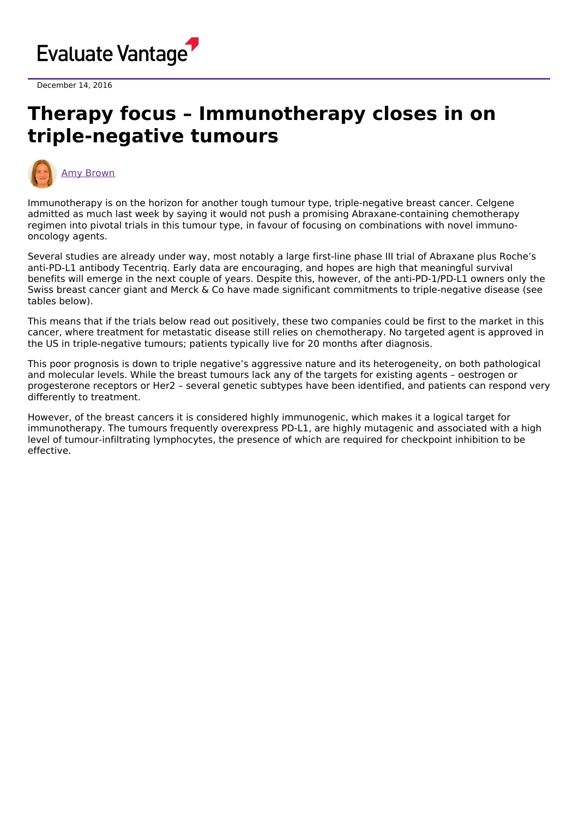

December 14, 2016

## **Therapy focus – Immunotherapy closes in on triple-negative tumours**



Immunotherapy is on the horizon for another tough tumour type, triple-negative breast cancer. Celgene admitted as much last week by saying it would not push a promising Abraxane-containing chemotherapy regimen into pivotal trials in this tumour type, in favour of focusing on combinations with novel immunooncology agents.

Several studies are already under way, most notably a large first-line phase III trial of Abraxane plus Roche's anti-PD-L1 antibody Tecentriq. Early data are encouraging, and hopes are high that meaningful survival benefits will emerge in the next couple of years. Despite this, however, of the anti-PD-1/PD-L1 owners only the Swiss breast cancer giant and Merck & Co have made significant commitments to triple-negative disease (see tables below).

This means that if the trials below read out positively, these two companies could be first to the market in this cancer, where treatment for metastatic disease still relies on chemotherapy. No targeted agent is approved in the US in triple-negative tumours; patients typically live for 20 months after diagnosis.

This poor prognosis is down to triple negative's aggressive nature and its heterogeneity, on both pathological and molecular levels. While the breast tumours lack any of the targets for existing agents – oestrogen or progesterone receptors or Her2 – several genetic subtypes have been identified, and patients can respond very differently to treatment.

However, of the breast cancers it is considered highly immunogenic, which makes it a logical target for immunotherapy. The tumours frequently overexpress PD-L1, are highly mutagenic and associated with a high level of tumour-infiltrating lymphocytes, the presence of which are required for checkpoint inhibition to be effective.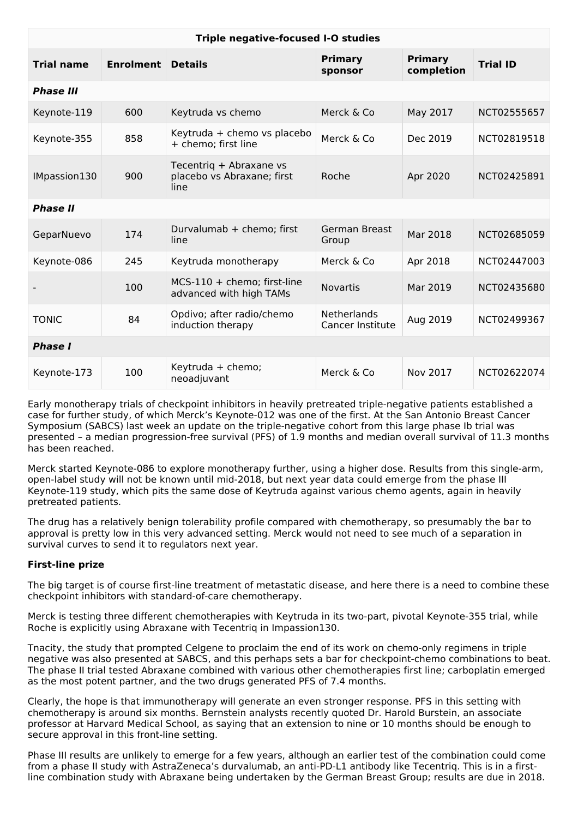| <b>Triple negative-focused I-O studies</b> |                          |                                                               |                                        |                              |                 |  |  |  |  |
|--------------------------------------------|--------------------------|---------------------------------------------------------------|----------------------------------------|------------------------------|-----------------|--|--|--|--|
| <b>Trial name</b>                          | <b>Enrolment Details</b> |                                                               | <b>Primary</b><br>sponsor              | <b>Primary</b><br>completion | <b>Trial ID</b> |  |  |  |  |
| <b>Phase III</b>                           |                          |                                                               |                                        |                              |                 |  |  |  |  |
| Keynote-119                                | 600                      | Keytruda vs chemo                                             | Merck & Co                             | May 2017                     | NCT02555657     |  |  |  |  |
| Keynote-355                                | 858                      | Keytruda + chemo vs placebo<br>+ chemo; first line            | Merck & Co                             | Dec 2019                     | NCT02819518     |  |  |  |  |
| IMpassion130                               | 900                      | Tecentrig + Abraxane vs<br>placebo vs Abraxane; first<br>line | Roche                                  | Apr 2020                     | NCT02425891     |  |  |  |  |
| <b>Phase II</b>                            |                          |                                                               |                                        |                              |                 |  |  |  |  |
| GeparNuevo                                 | 174                      | Durvalumab + chemo; first<br>line                             | German Breast<br>Group                 | Mar 2018                     | NCT02685059     |  |  |  |  |
| Keynote-086                                | 245                      | Keytruda monotherapy                                          | Merck & Co                             | Apr 2018                     | NCT02447003     |  |  |  |  |
|                                            | 100                      | MCS-110 + chemo; first-line<br>advanced with high TAMs        | <b>Novartis</b>                        | Mar 2019                     | NCT02435680     |  |  |  |  |
| <b>TONIC</b>                               | 84                       | Opdivo; after radio/chemo<br>induction therapy                | <b>Netherlands</b><br>Cancer Institute | Aug 2019                     | NCT02499367     |  |  |  |  |
| <b>Phase I</b>                             |                          |                                                               |                                        |                              |                 |  |  |  |  |
| Keynote-173                                | 100                      | Keytruda + chemo;<br>neoadjuvant                              | Merck & Co                             | Nov 2017                     | NCT02622074     |  |  |  |  |

Early monotherapy trials of checkpoint inhibitors in heavily pretreated triple-negative patients established a case for further study, of which Merck's Keynote-012 was one of the first. At the San Antonio Breast Cancer Symposium (SABCS) last week an update on the triple-negative cohort from this large phase Ib trial was presented – a median progression-free survival (PFS) of 1.9 months and median overall survival of 11.3 months has been reached.

Merck started Keynote-086 to explore monotherapy further, using a higher dose. Results from this single-arm, open-label study will not be known until mid-2018, but next year data could emerge from the phase III Keynote-119 study, which pits the same dose of Keytruda against various chemo agents, again in heavily pretreated patients.

The drug has a relatively benign tolerability profile compared with chemotherapy, so presumably the bar to approval is pretty low in this very advanced setting. Merck would not need to see much of a separation in survival curves to send it to regulators next year.

## **First-line prize**

The big target is of course first-line treatment of metastatic disease, and here there is a need to combine these checkpoint inhibitors with standard-of-care chemotherapy.

Merck is testing three different chemotherapies with Keytruda in its two-part, pivotal Keynote-355 trial, while Roche is explicitly using Abraxane with Tecentriq in Impassion130.

Tnacity, the study that prompted Celgene to proclaim the end of its work on chemo-only regimens in triple negative was also presented at SABCS, and this perhaps sets a bar for checkpoint-chemo combinations to beat. The phase II trial tested Abraxane combined with various other chemotherapies first line; carboplatin emerged as the most potent partner, and the two drugs generated PFS of 7.4 months.

Clearly, the hope is that immunotherapy will generate an even stronger response. PFS in this setting with chemotherapy is around six months. Bernstein analysts recently quoted Dr. Harold Burstein, an associate professor at Harvard Medical School, as saying that an extension to nine or 10 months should be enough to secure approval in this front-line setting.

Phase III results are unlikely to emerge for a few years, although an earlier test of the combination could come from a phase II study with AstraZeneca's durvalumab, an anti-PD-L1 antibody like Tecentriq. This is in a firstline combination study with Abraxane being undertaken by the German Breast Group; results are due in 2018.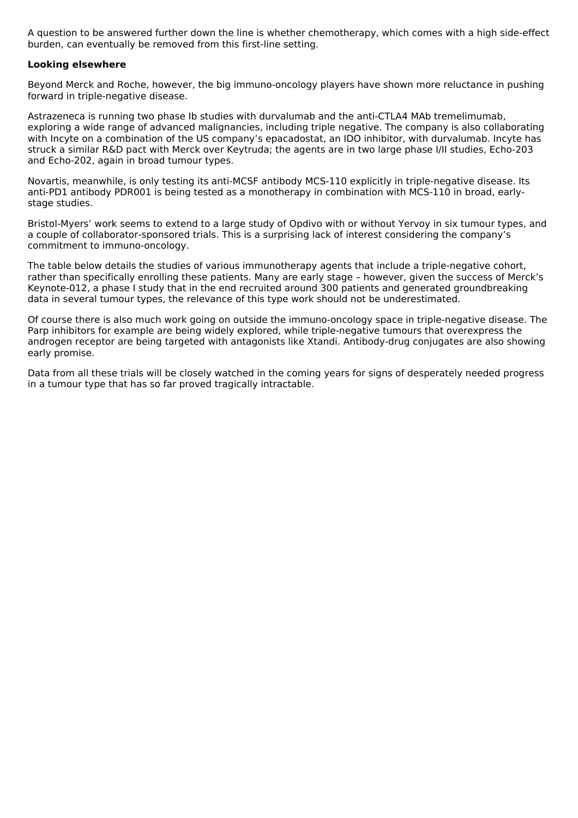A question to be answered further down the line is whether chemotherapy, which comes with a high side-effect burden, can eventually be removed from this first-line setting.

## **Looking elsewhere**

Beyond Merck and Roche, however, the big immuno-oncology players have shown more reluctance in pushing forward in triple-negative disease.

Astrazeneca is running two phase Ib studies with durvalumab and the anti-CTLA4 MAb tremelimumab, exploring a wide range of advanced malignancies, including triple negative. The company is also collaborating with Incyte on a combination of the US company's epacadostat, an IDO inhibitor, with durvalumab. Incyte has struck a similar R&D pact with Merck over Keytruda; the agents are in two large phase I/II studies, Echo-203 and Echo-202, again in broad tumour types.

Novartis, meanwhile, is only testing its anti-MCSF antibody MCS-110 explicitly in triple-negative disease. Its anti-PD1 antibody PDR001 is being tested as a monotherapy in combination with MCS-110 in broad, earlystage studies.

Bristol-Myers' work seems to extend to a large study of Opdivo with or without Yervoy in six tumour types, and a couple of collaborator-sponsored trials. This is a surprising lack of interest considering the company's commitment to immuno-oncology.

The table below details the studies of various immunotherapy agents that include a triple-negative cohort, rather than specifically enrolling these patients. Many are early stage – however, given the success of Merck's Keynote-012, a phase I study that in the end recruited around 300 patients and generated groundbreaking data in several tumour types, the relevance of this type work should not be underestimated.

Of course there is also much work going on outside the immuno-oncology space in triple-negative disease. The Parp inhibitors for example are being widely explored, while triple-negative tumours that overexpress the androgen receptor are being targeted with antagonists like Xtandi. Antibody-drug conjugates are also showing early promise.

Data from all these trials will be closely watched in the coming years for signs of desperately needed progress in a tumour type that has so far proved tragically intractable.